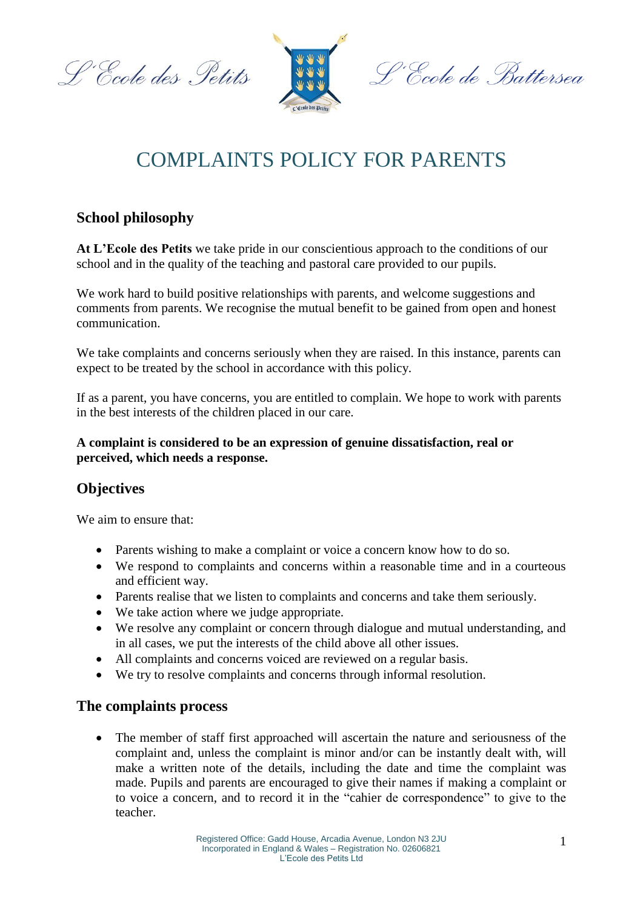L'Ecole des Petits



L'École de Battersea

# COMPLAINTS POLICY FOR PARENTS

## **School philosophy**

**At L'Ecole des Petits** we take pride in our conscientious approach to the conditions of our school and in the quality of the teaching and pastoral care provided to our pupils.

We work hard to build positive relationships with parents, and welcome suggestions and comments from parents. We recognise the mutual benefit to be gained from open and honest communication.

We take complaints and concerns seriously when they are raised. In this instance, parents can expect to be treated by the school in accordance with this policy.

If as a parent, you have concerns, you are entitled to complain. We hope to work with parents in the best interests of the children placed in our care.

#### **A complaint is considered to be an expression of genuine dissatisfaction, real or perceived, which needs a response.**

# **Objectives**

We aim to ensure that:

- Parents wishing to make a complaint or voice a concern know how to do so.
- We respond to complaints and concerns within a reasonable time and in a courteous and efficient way.
- Parents realise that we listen to complaints and concerns and take them seriously.
- We take action where we judge appropriate.
- We resolve any complaint or concern through dialogue and mutual understanding, and in all cases, we put the interests of the child above all other issues.
- All complaints and concerns voiced are reviewed on a regular basis.
- We try to resolve complaints and concerns through informal resolution.

## **The complaints process**

• The member of staff first approached will ascertain the nature and seriousness of the complaint and, unless the complaint is minor and/or can be instantly dealt with, will make a written note of the details, including the date and time the complaint was made. Pupils and parents are encouraged to give their names if making a complaint or to voice a concern, and to record it in the "cahier de correspondence" to give to the teacher.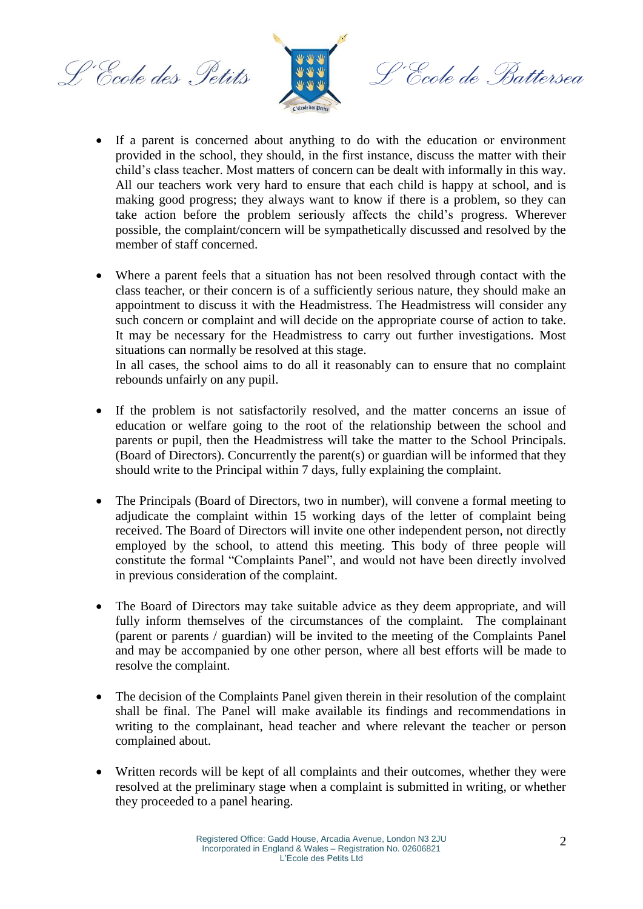L'Ecole des Petits



<sup>o,</sup>Ccole de Battersea

- If a parent is concerned about anything to do with the education or environment provided in the school, they should, in the first instance, discuss the matter with their child's class teacher. Most matters of concern can be dealt with informally in this way. All our teachers work very hard to ensure that each child is happy at school, and is making good progress; they always want to know if there is a problem, so they can take action before the problem seriously affects the child's progress. Wherever possible, the complaint/concern will be sympathetically discussed and resolved by the member of staff concerned.
- Where a parent feels that a situation has not been resolved through contact with the class teacher, or their concern is of a sufficiently serious nature, they should make an appointment to discuss it with the Headmistress. The Headmistress will consider any such concern or complaint and will decide on the appropriate course of action to take. It may be necessary for the Headmistress to carry out further investigations. Most situations can normally be resolved at this stage.

In all cases, the school aims to do all it reasonably can to ensure that no complaint rebounds unfairly on any pupil.

- If the problem is not satisfactorily resolved, and the matter concerns an issue of education or welfare going to the root of the relationship between the school and parents or pupil, then the Headmistress will take the matter to the School Principals. (Board of Directors). Concurrently the parent(s) or guardian will be informed that they should write to the Principal within 7 days, fully explaining the complaint.
- The Principals (Board of Directors, two in number), will convene a formal meeting to adjudicate the complaint within 15 working days of the letter of complaint being received. The Board of Directors will invite one other independent person, not directly employed by the school, to attend this meeting. This body of three people will constitute the formal "Complaints Panel", and would not have been directly involved in previous consideration of the complaint.
- The Board of Directors may take suitable advice as they deem appropriate, and will fully inform themselves of the circumstances of the complaint. The complainant (parent or parents / guardian) will be invited to the meeting of the Complaints Panel and may be accompanied by one other person, where all best efforts will be made to resolve the complaint.
- The decision of the Complaints Panel given therein in their resolution of the complaint shall be final. The Panel will make available its findings and recommendations in writing to the complainant, head teacher and where relevant the teacher or person complained about.
- Written records will be kept of all complaints and their outcomes, whether they were resolved at the preliminary stage when a complaint is submitted in writing, or whether they proceeded to a panel hearing.